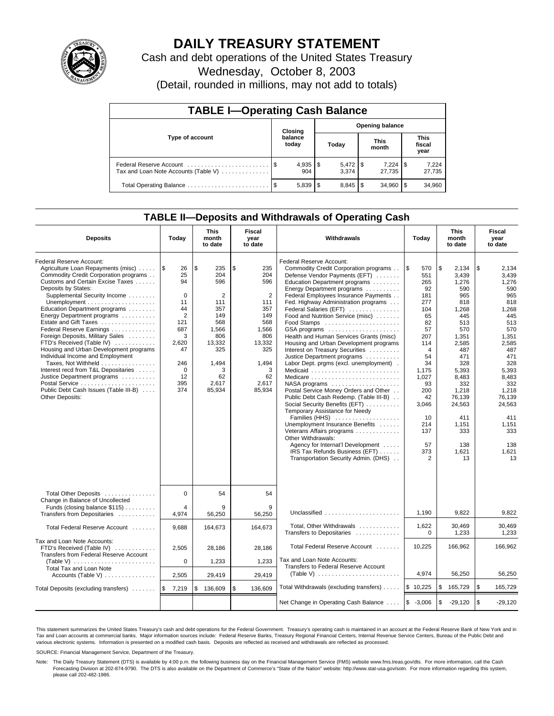

# **DAILY TREASURY STATEMENT**

Cash and debt operations of the United States Treasury

Wednesday, October 8, 2003

(Detail, rounded in millions, may not add to totals)

| <b>TABLE I-Operating Cash Balance</b>                           |                                   |                     |       |                |                      |                       |                               |                 |  |  |
|-----------------------------------------------------------------|-----------------------------------|---------------------|-------|----------------|----------------------|-----------------------|-------------------------------|-----------------|--|--|
|                                                                 | <b>Opening balance</b><br>Closing |                     |       |                |                      |                       |                               |                 |  |  |
| Type of account                                                 |                                   | balance<br>today    | Today |                | <b>This</b><br>month |                       | <b>This</b><br>fiscal<br>year |                 |  |  |
| Federal Reserve Account<br>Tax and Loan Note Accounts (Table V) |                                   | $4,935$   \$<br>904 |       | 3.374          |                      | $7,224$ \\$<br>27.735 |                               | 7,224<br>27,735 |  |  |
| Total Operating Balance                                         | - \$                              | 5,839               | l \$  | $8,845$ \ \ \$ |                      | 34.960                |                               | 34,960          |  |  |

## **TABLE II—Deposits and Withdrawals of Operating Cash**

| <b>Deposits</b>                                                                                                                                                                                                                                                                                                                                                                                                                                                                                                                                                                                                                | Today                                                                                                                             | <b>This</b><br>month<br>to date                                                                                                  | Fiscal<br>year<br>to date                                                                                                                     | Withdrawals                                                                                                                                                                                                                                                                                                                                                                                                                                                                                                                                                                                                                                                                                                                                                                                                                                                                                                                                                  | Today                                                                                                                                                                                                  | <b>This</b><br>month<br>to date                                                                                                                                                                                            | Fiscal<br>year<br>to date                                                                                                                                                                                                  |  |
|--------------------------------------------------------------------------------------------------------------------------------------------------------------------------------------------------------------------------------------------------------------------------------------------------------------------------------------------------------------------------------------------------------------------------------------------------------------------------------------------------------------------------------------------------------------------------------------------------------------------------------|-----------------------------------------------------------------------------------------------------------------------------------|----------------------------------------------------------------------------------------------------------------------------------|-----------------------------------------------------------------------------------------------------------------------------------------------|--------------------------------------------------------------------------------------------------------------------------------------------------------------------------------------------------------------------------------------------------------------------------------------------------------------------------------------------------------------------------------------------------------------------------------------------------------------------------------------------------------------------------------------------------------------------------------------------------------------------------------------------------------------------------------------------------------------------------------------------------------------------------------------------------------------------------------------------------------------------------------------------------------------------------------------------------------------|--------------------------------------------------------------------------------------------------------------------------------------------------------------------------------------------------------|----------------------------------------------------------------------------------------------------------------------------------------------------------------------------------------------------------------------------|----------------------------------------------------------------------------------------------------------------------------------------------------------------------------------------------------------------------------|--|
| Federal Reserve Account:<br>Agriculture Loan Repayments (misc)<br>Commodity Credit Corporation programs<br>Customs and Certain Excise Taxes<br>Deposits by States:<br>Supplemental Security Income<br>Education Department programs<br>Energy Department programs<br>Estate and Gift Taxes<br>Federal Reserve Earnings<br>Foreign Deposits, Military Sales<br>FTD's Received (Table IV)<br>Housing and Urban Development programs<br>Individual Income and Employment<br>Taxes, Not Withheld<br>Interest recd from T&L Depositaries<br>Justice Department programs<br>Public Debt Cash Issues (Table III-B)<br>Other Deposits: | 1\$<br>26<br>25<br>94<br>$\mathbf 0$<br>11<br>44<br>2<br>121<br>687<br>3<br>2,620<br>47<br>246<br>$\mathbf 0$<br>12<br>395<br>374 | \$<br>235<br>204<br>596<br>2<br>111<br>357<br>149<br>568<br>1,566<br>806<br>13,332<br>325<br>1,494<br>3<br>62<br>2,617<br>85,934 | \$<br>235<br>204<br>596<br>$\overline{2}$<br>111<br>357<br>149<br>568<br>1,566<br>806<br>13,332<br>325<br>1,494<br>3<br>62<br>2,617<br>85,934 | Federal Reserve Account:<br>Commodity Credit Corporation programs<br>Defense Vendor Payments (EFT)<br>Education Department programs<br>Energy Department programs<br>Federal Employees Insurance Payments<br>Fed. Highway Administration programs<br>Federal Salaries (EFT)<br>Food and Nutrition Service (misc)<br>Food Stamps<br>GSA programs<br>Health and Human Services Grants (misc)<br>Housing and Urban Development programs<br>Interest on Treasury Securities<br>Justice Department programs<br>Labor Dept. prgms (excl. unemployment).<br>Medicaid<br>NASA programs<br>Postal Service Money Orders and Other<br>Public Debt Cash Redemp. (Table III-B)<br>Social Security Benefits (EFT)<br>Temporary Assistance for Needy<br>Families (HHS)<br>Unemployment Insurance Benefits<br>Veterans Affairs programs<br>Other Withdrawals:<br>Agency for Internat'l Development<br>IRS Tax Refunds Business (EFT)<br>Transportation Security Admin. (DHS) | l \$<br>570<br>551<br>265<br>92<br>181<br>277<br>104<br>65<br>82<br>57<br>207<br>114<br>$\overline{4}$<br>54<br>34<br>1,175<br>1,027<br>93<br>200<br>42<br>3,046<br>10<br>214<br>137<br>57<br>373<br>2 | \$<br>2.134<br>3,439<br>1,276<br>590<br>965<br>818<br>1.268<br>445<br>513<br>570<br>1,351<br>2,585<br>487<br>471<br>328<br>5,393<br>8,483<br>332<br>1,218<br>76,139<br>24,563<br>411<br>1,151<br>333<br>138<br>1,621<br>13 | \$<br>2.134<br>3,439<br>1,276<br>590<br>965<br>818<br>1,268<br>445<br>513<br>570<br>1,351<br>2,585<br>487<br>471<br>328<br>5,393<br>8,483<br>332<br>1,218<br>76.139<br>24,563<br>411<br>1,151<br>333<br>138<br>1,621<br>13 |  |
| Total Other Deposits<br>Change in Balance of Uncollected<br>Funds (closing balance \$115)                                                                                                                                                                                                                                                                                                                                                                                                                                                                                                                                      | $\mathbf 0$<br>4                                                                                                                  | 54<br>9                                                                                                                          | 54<br>9                                                                                                                                       |                                                                                                                                                                                                                                                                                                                                                                                                                                                                                                                                                                                                                                                                                                                                                                                                                                                                                                                                                              |                                                                                                                                                                                                        |                                                                                                                                                                                                                            |                                                                                                                                                                                                                            |  |
| Transfers from Depositaries                                                                                                                                                                                                                                                                                                                                                                                                                                                                                                                                                                                                    | 4,974                                                                                                                             | 56,250                                                                                                                           | 56,250                                                                                                                                        | Unclassified                                                                                                                                                                                                                                                                                                                                                                                                                                                                                                                                                                                                                                                                                                                                                                                                                                                                                                                                                 | 1,190                                                                                                                                                                                                  | 9,822                                                                                                                                                                                                                      | 9,822                                                                                                                                                                                                                      |  |
| Total Federal Reserve Account                                                                                                                                                                                                                                                                                                                                                                                                                                                                                                                                                                                                  | 9,688                                                                                                                             | 164,673                                                                                                                          | 164,673                                                                                                                                       | Total, Other Withdrawals<br>Transfers to Depositaries                                                                                                                                                                                                                                                                                                                                                                                                                                                                                                                                                                                                                                                                                                                                                                                                                                                                                                        | 1,622<br>$\Omega$                                                                                                                                                                                      | 30,469<br>1,233                                                                                                                                                                                                            | 30.469<br>1.233                                                                                                                                                                                                            |  |
| Tax and Loan Note Accounts:<br>FTD's Received (Table IV)<br>Transfers from Federal Reserve Account                                                                                                                                                                                                                                                                                                                                                                                                                                                                                                                             | 2.505                                                                                                                             | 28.186                                                                                                                           | 28.186                                                                                                                                        | Total Federal Reserve Account                                                                                                                                                                                                                                                                                                                                                                                                                                                                                                                                                                                                                                                                                                                                                                                                                                                                                                                                | 10,225                                                                                                                                                                                                 | 166,962                                                                                                                                                                                                                    | 166,962                                                                                                                                                                                                                    |  |
| (Table V)                                                                                                                                                                                                                                                                                                                                                                                                                                                                                                                                                                                                                      | $\mathbf 0$                                                                                                                       | 1,233                                                                                                                            | 1,233                                                                                                                                         | Tax and Loan Note Accounts:<br>Transfers to Federal Reserve Account                                                                                                                                                                                                                                                                                                                                                                                                                                                                                                                                                                                                                                                                                                                                                                                                                                                                                          |                                                                                                                                                                                                        |                                                                                                                                                                                                                            |                                                                                                                                                                                                                            |  |
| Total Tax and Loan Note<br>Accounts (Table V)                                                                                                                                                                                                                                                                                                                                                                                                                                                                                                                                                                                  | 2,505                                                                                                                             | 29,419                                                                                                                           | 29,419                                                                                                                                        | (Table V) $\ldots \ldots \ldots \ldots \ldots \ldots \ldots$                                                                                                                                                                                                                                                                                                                                                                                                                                                                                                                                                                                                                                                                                                                                                                                                                                                                                                 | 4,974                                                                                                                                                                                                  | 56,250                                                                                                                                                                                                                     | 56,250                                                                                                                                                                                                                     |  |
| Total Deposits (excluding transfers)                                                                                                                                                                                                                                                                                                                                                                                                                                                                                                                                                                                           | 7,219<br>1\$                                                                                                                      | 136.609<br>\$                                                                                                                    | \$<br>136.609                                                                                                                                 | Total Withdrawals (excluding transfers)                                                                                                                                                                                                                                                                                                                                                                                                                                                                                                                                                                                                                                                                                                                                                                                                                                                                                                                      | \$10,225                                                                                                                                                                                               | \$<br>165,729                                                                                                                                                                                                              | \$<br>165,729                                                                                                                                                                                                              |  |
|                                                                                                                                                                                                                                                                                                                                                                                                                                                                                                                                                                                                                                |                                                                                                                                   |                                                                                                                                  |                                                                                                                                               | Net Change in Operating Cash Balance                                                                                                                                                                                                                                                                                                                                                                                                                                                                                                                                                                                                                                                                                                                                                                                                                                                                                                                         | $$ -3,006$                                                                                                                                                                                             | \$<br>$-29,120$                                                                                                                                                                                                            | \$<br>$-29,120$                                                                                                                                                                                                            |  |

This statement summarizes the United States Treasury's cash and debt operations for the Federal Government. Treasury's operating cash is maintained in an account at the Federal Reserve Bank of New York and in Tax and Loan accounts at commercial banks. Major information sources include: Federal Reserve Banks, Treasury Regional Financial Centers, Internal Revenue Service Centers, Bureau of the Public Debt and<br>various electronic s

SOURCE: Financial Management Service, Department of the Treasury.

Note: The Daily Treasury Statement (DTS) is available by 4:00 p.m. the following business day on the Financial Management Service (FMS) website www.fms.treas.gov/dts. For more information, call the Cash Forecasting Division at 202-874-9790. The DTS is also available on the Department of Commerce's "State of the Nation" website: http://www.stat-usa.gov/sotn. For more information regarding this system, please call 202-482-1986.